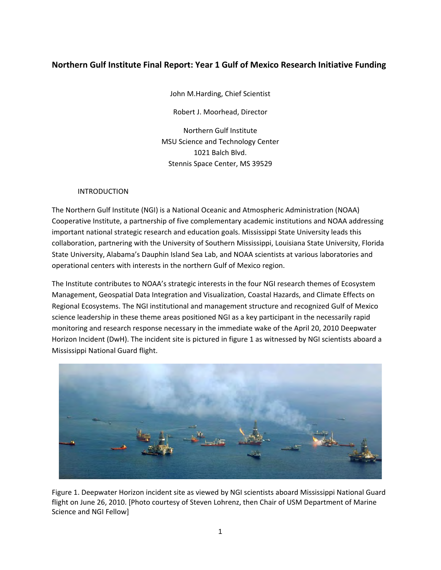# **Northern Gulf Institute Final Report: Year 1 Gulf of Mexico Research Initiative Funding**

John M.Harding, Chief Scientist

Robert J. Moorhead, Director

Northern Gulf Institute MSU Science and Technology Center 1021 Balch Blvd. Stennis Space Center, MS 39529

## INTRODUCTION

The Northern Gulf Institute (NGI) is a National Oceanic and Atmospheric Administration (NOAA) Cooperative Institute, a partnership of five complementary academic institutions and NOAA addressing important national strategic research and education goals. Mississippi State University leads this collaboration, partnering with the University of Southern Mississippi, Louisiana State University, Florida State University, Alabama's Dauphin Island Sea Lab, and NOAA scientists at various laboratories and operational centers with interests in the northern Gulf of Mexico region.

The Institute contributes to NOAA's strategic interests in the four NGI research themes of Ecosystem Management, Geospatial Data Integration and Visualization, Coastal Hazards, and Climate Effects on Regional Ecosystems. The NGI institutional and management structure and recognized Gulf of Mexico science leadership in these theme areas positioned NGI as a key participant in the necessarily rapid monitoring and research response necessary in the immediate wake of the April 20, 2010 Deepwater Horizon Incident (DwH). The incident site is pictured in figure 1 as witnessed by NGI scientists aboard a Mississippi National Guard flight.



Figure 1. Deepwater Horizon incident site as viewed by NGI scientists aboard Mississippi National Guard flight on June 26, 2010. [Photo courtesy of Steven Lohrenz, then Chair of USM Department of Marine Science and NGI Fellow]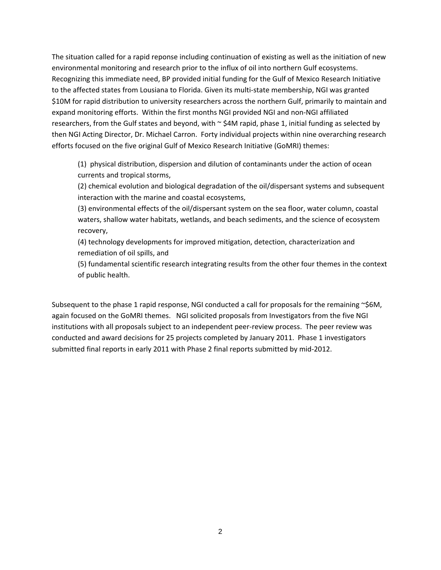The situation called for a rapid reponse including continuation of existing as well as the initiation of new environmental monitoring and research prior to the influx of oil into northern Gulf ecosystems. Recognizing this immediate need, BP provided initial funding for the Gulf of Mexico Research Initiative to the affected states from Lousiana to Florida. Given its multi-state membership, NGI was granted \$10M for rapid distribution to university researchers across the northern Gulf, primarily to maintain and expand monitoring efforts. Within the first months NGI provided NGI and non‐NGI affiliated researchers, from the Gulf states and beyond, with  $\sim$  \$4M rapid, phase 1, initial funding as selected by then NGI Acting Director, Dr. Michael Carron. Forty individual projects within nine overarching research efforts focused on the five original Gulf of Mexico Research Initiative (GoMRI) themes:

(1) physical distribution, dispersion and dilution of contaminants under the action of ocean currents and tropical storms,

(2) chemical evolution and biological degradation of the oil/dispersant systems and subsequent interaction with the marine and coastal ecosystems,

(3) environmental effects of the oil/dispersant system on the sea floor, water column, coastal waters, shallow water habitats, wetlands, and beach sediments, and the science of ecosystem recovery,

(4) technology developments for improved mitigation, detection, characterization and remediation of oil spills, and

(5) fundamental scientific research integrating results from the other four themes in the context of public health.

Subsequent to the phase 1 rapid response, NGI conducted a call for proposals for the remaining  $\sim$ \$6M, again focused on the GoMRI themes. NGI solicited proposals from Investigators from the five NGI institutions with all proposals subject to an independent peer‐review process. The peer review was conducted and award decisions for 25 projects completed by January 2011. Phase 1 investigators submitted final reports in early 2011 with Phase 2 final reports submitted by mid-2012.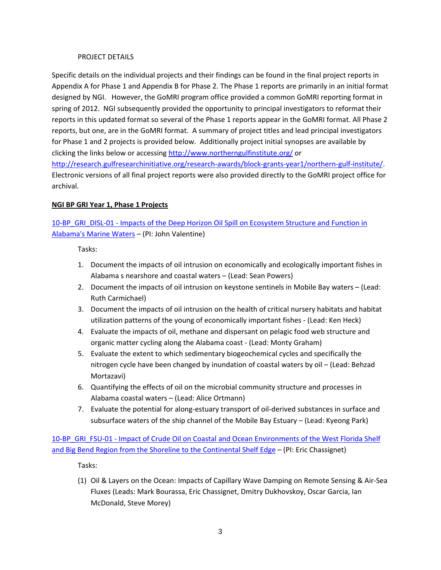### PROJECT DETAILS

Specific details on the individual projects and their findings can be found in the final project reports in Appendix A for Phase 1 and Appendix B for Phase 2. The Phase 1 reports are primarily in an initial format designed by NGI. However, the GoMRI program office provided a common GoMRI reporting format in spring of 2012. NGI subsequently provided the opportunity to principal investigators to reformat their reports in this updated format so several of the Phase 1 reports appear in the GoMRI format. All Phase 2 reports, but one, are in the GoMRI format. A summary of project titles and lead principal investigators for Phase 1 and 2 projects is provided below. Additionally project initial synopses are available by clicking the links below or accessing http://www.northerngulfinstitute.org/ or

http://research.gulfresearchinitiative.org/research-awards/block-grants-year1/northern-gulf-institute/. Electronic versions of all final project reports were also provided directly to the GoMRI project office for archival.

# **NGI BP GRI Year 1, Phase 1 Projects**

# 10-BP GRI DISL-01 - Impacts of the Deep Horizon Oil Spill on Ecosystem Structure and Function in Alabama's Marine Waters – (PI: John Valentine)

Tasks:

- 1. Document the impacts of oil intrusion on economically and ecologically important fishes in Alabama s nearshore and coastal waters – (Lead: Sean Powers)
- 2. Document the impacts of oil intrusion on keystone sentinels in Mobile Bay waters (Lead: Ruth Carmichael)
- 3. Document the impacts of oil intrusion on the health of critical nursery habitats and habitat utilization patterns of the young of economically important fishes ‐ (Lead: Ken Heck)
- 4. Evaluate the impacts of oil, methane and dispersant on pelagic food web structure and organic matter cycling along the Alabama coast ‐ (Lead: Monty Graham)
- 5. Evaluate the extent to which sedimentary biogeochemical cycles and specifically the nitrogen cycle have been changed by inundation of coastal waters by oil – (Lead: Behzad Mortazavi)
- 6. Quantifying the effects of oil on the microbial community structure and processes in Alabama coastal waters – (Lead: Alice Ortmann)
- 7. Evaluate the potential for along‐estuary transport of oil‐derived substances in surface and subsurface waters of the ship channel of the Mobile Bay Estuary – (Lead: Kyeong Park)

10-BP\_GRI\_FSU-01 - Impact of Crude Oil on Coastal and Ocean Environments of the West Florida Shelf and Big Bend Region from the Shoreline to the Continental Shelf Edge – (PI: Eric Chassignet)

Tasks:

(1) Oil & Layers on the Ocean: Impacts of Capillary Wave Damping on Remote Sensing & Air‐Sea Fluxes (Leads: Mark Bourassa, Eric Chassignet, Dmitry Dukhovskoy, Oscar Garcia, Ian McDonald, Steve Morey)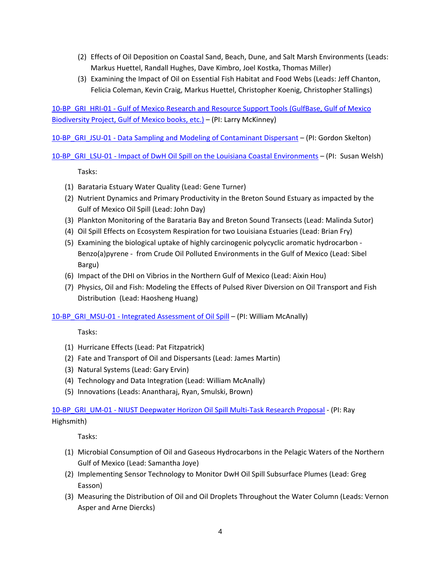- (2) Effects of Oil Deposition on Coastal Sand, Beach, Dune, and Salt Marsh Environments (Leads: Markus Huettel, Randall Hughes, Dave Kimbro, Joel Kostka, Thomas Miller)
- (3) Examining the Impact of Oil on Essential Fish Habitat and Food Webs (Leads: Jeff Chanton, Felicia Coleman, Kevin Craig, Markus Huettel, Christopher Koenig, Christopher Stallings)

10‐BP\_GRI\_HRI‐01 ‐ Gulf of Mexico Research and Resource Support Tools (GulfBase, Gulf of Mexico Biodiversity Project, Gulf of Mexico books, etc.) – (PI: Larry McKinney)

10-BP\_GRI\_JSU-01 - Data Sampling and Modeling of Contaminant Dispersant – (PI: Gordon Skelton)

10-BP GRI LSU-01 - Impact of DwH Oil Spill on the Louisiana Coastal Environments – (PI: Susan Welsh)

Tasks:

- (1) Barataria Estuary Water Quality (Lead: Gene Turner)
- (2) Nutrient Dynamics and Primary Productivity in the Breton Sound Estuary as impacted by the Gulf of Mexico Oil Spill (Lead: John Day)
- (3) Plankton Monitoring of the Barataria Bay and Breton Sound Transects (Lead: Malinda Sutor)
- (4) Oil Spill Effects on Ecosystem Respiration for two Louisiana Estuaries (Lead: Brian Fry)
- (5) Examining the biological uptake of highly carcinogenic polycyclic aromatic hydrocarbon ‐ Benzo(a)pyrene ‐ from Crude Oil Polluted Environments in the Gulf of Mexico (Lead: Sibel Bargu)
- (6) Impact of the DHI on Vibrios in the Northern Gulf of Mexico (Lead: Aixin Hou)
- (7) Physics, Oil and Fish: Modeling the Effects of Pulsed River Diversion on Oil Transport and Fish Distribution (Lead: Haosheng Huang)

10-BP\_GRI\_MSU-01 - Integrated Assessment of Oil Spill – (PI: William McAnally)

Tasks:

- (1) Hurricane Effects (Lead: Pat Fitzpatrick)
- (2) Fate and Transport of Oil and Dispersants (Lead: James Martin)
- (3) Natural Systems (Lead: Gary Ervin)
- (4) Technology and Data Integration (Lead: William McAnally)
- (5) Innovations (Leads: Anantharaj, Ryan, Smulski, Brown)

10-BP\_GRI\_UM-01 - NIUST Deepwater Horizon Oil Spill Multi-Task Research Proposal - (PI: Ray Highsmith)

Tasks:

- (1) Microbial Consumption of Oil and Gaseous Hydrocarbons in the Pelagic Waters of the Northern Gulf of Mexico (Lead: Samantha Joye)
- (2) Implementing Sensor Technology to Monitor DwH Oil Spill Subsurface Plumes (Lead: Greg Easson)
- (3) Measuring the Distribution of Oil and Oil Droplets Throughout the Water Column (Leads: Vernon Asper and Arne Diercks)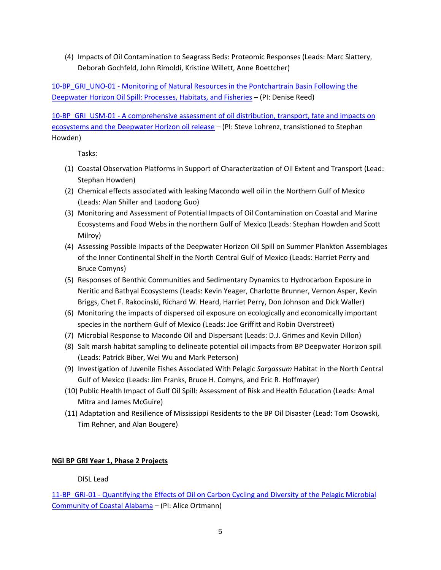(4) Impacts of Oil Contamination to Seagrass Beds: Proteomic Responses (Leads: Marc Slattery, Deborah Gochfeld, John Rimoldi, Kristine Willett, Anne Boettcher)

10-BP GRI UNO-01 - Monitoring of Natural Resources in the Pontchartrain Basin Following the Deepwater Horizon Oil Spill: Processes, Habitats, and Fisheries – (PI: Denise Reed)

10‐BP\_GRI\_USM‐01 ‐ A comprehensive assessment of oil distribution, transport, fate and impacts on ecosystems and the Deepwater Horizon oil release - (PI: Steve Lohrenz, transistioned to Stephan Howden)

Tasks:

- (1) Coastal Observation Platforms in Support of Characterization of Oil Extent and Transport (Lead: Stephan Howden)
- (2) Chemical effects associated with leaking Macondo well oil in the Northern Gulf of Mexico (Leads: Alan Shiller and Laodong Guo)
- (3) Monitoring and Assessment of Potential Impacts of Oil Contamination on Coastal and Marine Ecosystems and Food Webs in the northern Gulf of Mexico (Leads: Stephan Howden and Scott Milroy)
- (4) Assessing Possible Impacts of the Deepwater Horizon Oil Spill on Summer Plankton Assemblages of the Inner Continental Shelf in the North Central Gulf of Mexico (Leads: Harriet Perry and Bruce Comyns)
- (5) Responses of Benthic Communities and Sedimentary Dynamics to Hydrocarbon Exposure in Neritic and Bathyal Ecosystems (Leads: Kevin Yeager, Charlotte Brunner, Vernon Asper, Kevin Briggs, Chet F. Rakocinski, Richard W. Heard, Harriet Perry, Don Johnson and Dick Waller)
- (6) Monitoring the impacts of dispersed oil exposure on ecologically and economically important species in the northern Gulf of Mexico (Leads: Joe Griffitt and Robin Overstreet)
- (7) Microbial Response to Macondo Oil and Dispersant (Leads: D.J. Grimes and Kevin Dillon)
- (8) Salt marsh habitat sampling to delineate potential oil impacts from BP Deepwater Horizon spill (Leads: Patrick Biber, Wei Wu and Mark Peterson)
- (9) Investigation of Juvenile Fishes Associated With Pelagic *Sargassum* Habitat in the North Central Gulf of Mexico (Leads: Jim Franks, Bruce H. Comyns, and Eric R. Hoffmayer)
- (10) Public Health Impact of Gulf Oil Spill: Assessment of Risk and Health Education (Leads: Amal Mitra and James McGuire)
- (11) Adaptation and Resilience of Mississippi Residents to the BP Oil Disaster (Lead: Tom Osowski, Tim Rehner, and Alan Bougere)

# **NGI BP GRI Year 1, Phase 2 Projects**

DISL Lead

11-BP\_GRI-01 - Quantifying the Effects of Oil on Carbon Cycling and Diversity of the Pelagic Microbial Community of Coastal Alabama – (PI: Alice Ortmann)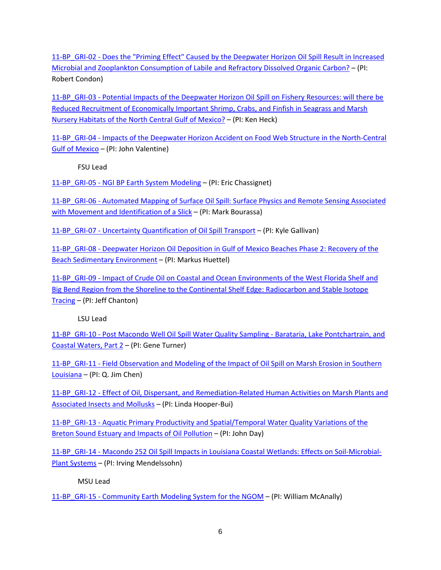11-BP\_GRI-02 - Does the "Priming Effect" Caused by the Deepwater Horizon Oil Spill Result in Increased Microbial and Zooplankton Consumption of Labile and Refractory Dissolved Organic Carbon? – (PI: Robert Condon)

11-BP\_GRI-03 - Potential Impacts of the Deepwater Horizon Oil Spill on Fishery Resources: will there be Reduced Recruitment of Economically Important Shrimp, Crabs, and Finfish in Seagrass and Marsh Nursery Habitats of the North Central Gulf of Mexico? – (PI: Ken Heck)

11-BP\_GRI-04 - Impacts of the Deepwater Horizon Accident on Food Web Structure in the North-Central Gulf of Mexico – (PI: John Valentine)

FSU Lead

11-BP GRI-05 - NGI BP Earth System Modeling – (PI: Eric Chassignet)

11-BP\_GRI-06 - Automated Mapping of Surface Oil Spill: Surface Physics and Remote Sensing Associated with Movement and Identification of a Slick – (PI: Mark Bourassa)

11-BP GRI-07 - Uncertainty Quantification of Oil Spill Transport – (PI: Kyle Gallivan)

11-BP\_GRI-08 - Deepwater Horizon Oil Deposition in Gulf of Mexico Beaches Phase 2: Recovery of the Beach Sedimentary Environment – (PI: Markus Huettel)

11-BP GRI-09 - Impact of Crude Oil on Coastal and Ocean Environments of the West Florida Shelf and Big Bend Region from the Shoreline to the Continental Shelf Edge: Radiocarbon and Stable Isotope Tracing – (PI: Jeff Chanton)

LSU Lead

11-BP\_GRI-10 - Post Macondo Well Oil Spill Water Quality Sampling - Barataria, Lake Pontchartrain, and Coastal Waters, Part 2 – (PI: Gene Turner)

11-BP GRI-11 - Field Observation and Modeling of the Impact of Oil Spill on Marsh Erosion in Southern Louisiana – (PI: Q. Jim Chen)

11-BP GRI-12 - Effect of Oil, Dispersant, and Remediation-Related Human Activities on Marsh Plants and Associated Insects and Mollusks – (PI: Linda Hooper‐Bui)

11-BP GRI-13 - Aquatic Primary Productivity and Spatial/Temporal Water Quality Variations of the Breton Sound Estuary and Impacts of Oil Pollution – (PI: John Day)

11-BP\_GRI-14 - Macondo 252 Oil Spill Impacts in Louisiana Coastal Wetlands: Effects on Soil-Microbial-Plant Systems – (PI: Irving Mendelssohn)

MSU Lead

11-BP GRI-15 - Community Earth Modeling System for the NGOM – (PI: William McAnally)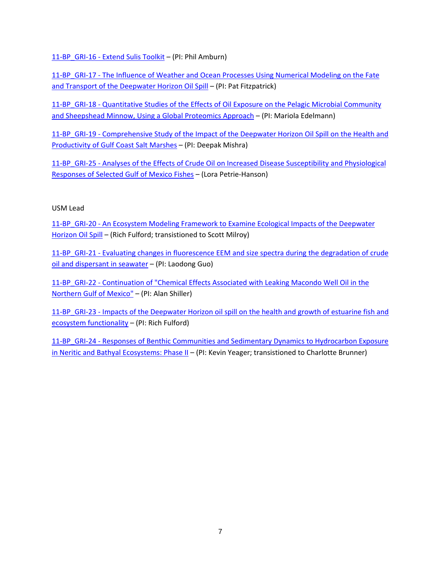11-BP GRI-16 - Extend Sulis Toolkit – (PI: Phil Amburn)

11-BP GRI-17 - The Influence of Weather and Ocean Processes Using Numerical Modeling on the Fate and Transport of the Deepwater Horizon Oil Spill – (PI: Pat Fitzpatrick)

11-BP GRI-18 - Quantitative Studies of the Effects of Oil Exposure on the Pelagic Microbial Community and Sheepshead Minnow, Using a Global Proteomics Approach – (PI: Mariola Edelmann)

11-BP\_GRI-19 - Comprehensive Study of the Impact of the Deepwater Horizon Oil Spill on the Health and Productivity of Gulf Coast Salt Marshes – (PI: Deepak Mishra)

11-BP\_GRI-25 - Analyses of the Effects of Crude Oil on Increased Disease Susceptibility and Physiological Responses of Selected Gulf of Mexico Fishes – (Lora Petrie‐Hanson)

# USM Lead

11-BP GRI-20 - An Ecosystem Modeling Framework to Examine Ecological Impacts of the Deepwater Horizon Oil Spill – (Rich Fulford; transistioned to Scott Milroy)

11-BP\_GRI-21 - Evaluating changes in fluorescence EEM and size spectra during the degradation of crude oil and dispersant in seawater – (PI: Laodong Guo)

11-BP\_GRI-22 - Continuation of "Chemical Effects Associated with Leaking Macondo Well Oil in the Northern Gulf of Mexico" – (PI: Alan Shiller)

11-BP\_GRI-23 - Impacts of the Deepwater Horizon oil spill on the health and growth of estuarine fish and ecosystem functionality – (PI: Rich Fulford)

11-BP\_GRI-24 - Responses of Benthic Communities and Sedimentary Dynamics to Hydrocarbon Exposure in Neritic and Bathyal Ecosystems: Phase II - (PI: Kevin Yeager; transistioned to Charlotte Brunner)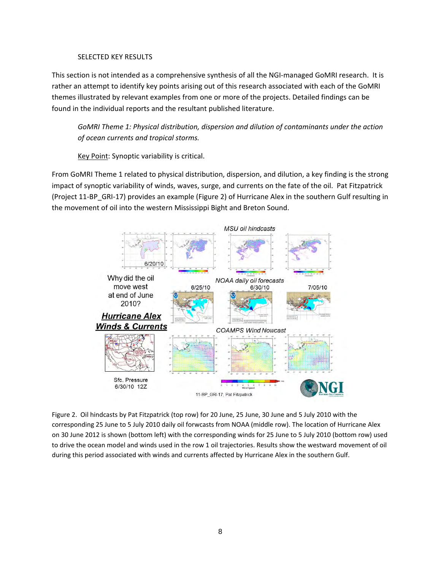### SELECTED KEY RESULTS

This section is not intended as a comprehensive synthesis of all the NGI-managed GoMRI research. It is rather an attempt to identify key points arising out of this research associated with each of the GoMRI themes illustrated by relevant examples from one or more of the projects. Detailed findings can be found in the individual reports and the resultant published literature.

*GoMRI Theme 1: Physical distribution, dispersion and dilution of contaminants under the action of ocean currents and tropical storms.*

Key Point: Synoptic variability is critical.

From GoMRI Theme 1 related to physical distribution, dispersion, and dilution, a key finding is the strong impact of synoptic variability of winds, waves, surge, and currents on the fate of the oil. Pat Fitzpatrick (Project 11‐BP\_GRI‐17) provides an example (Figure 2) of Hurricane Alex in the southern Gulf resulting in the movement of oil into the western Mississippi Bight and Breton Sound.



Figure 2. Oil hindcasts by Pat Fitzpatrick (top row) for 20 June, 25 June, 30 June and 5 July 2010 with the corresponding 25 June to 5 July 2010 daily oil forwcasts from NOAA (middle row). The location of Hurricane Alex on 30 June 2012 is shown (bottom left) with the corresponding winds for 25 June to 5 July 2010 (bottom row) used to drive the ocean model and winds used in the row 1 oil trajectories. Results show the westward movement of oil during this period associated with winds and currents affected by Hurricane Alex in the southern Gulf.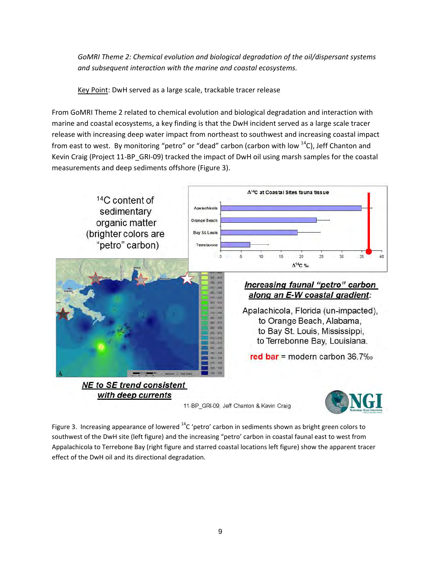*GoMRI Theme 2: Chemical evolution and biological degradation of the oil/dispersant systems and subsequent interaction with the marine and coastal ecosystems.*

Key Point: DwH served as a large scale, trackable tracer release

From GoMRI Theme 2 related to chemical evolution and biological degradation and interaction with marine and coastal ecosystems, a key finding is that the DwH incident served as a large scale tracer release with increasing deep water impact from northeast to southwest and increasing coastal impact from east to west. By monitoring "petro" or "dead" carbon (carbon with low  $14$ C), Jeff Chanton and Kevin Craig (Project 11-BP\_GRI-09) tracked the impact of DwH oil using marsh samples for the coastal measurements and deep sediments offshore (Figure 3).



Figure 3. Increasing appearance of lowered  $^{14}$ C 'petro' carbon in sediments shown as bright green colors to southwest of the DwH site (left figure) and the increasing "petro' carbon in coastal faunal east to west from Appalachicola to Terrebone Bay (right figure and starred coastal locations left figure) show the apparent tracer effect of the DwH oil and its directional degradation.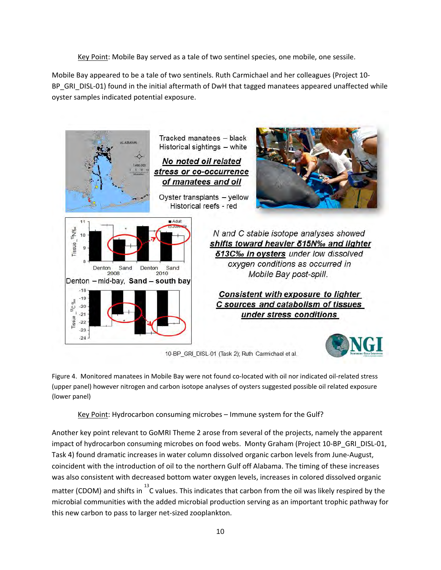Key Point: Mobile Bay served as a tale of two sentinel species, one mobile, one sessile.

Mobile Bay appeared to be a tale of two sentinels. Ruth Carmichael and her colleagues (Project 10‐ BP\_GRI\_DISL-01) found in the initial aftermath of DwH that tagged manatees appeared unaffected while oyster samples indicated potential exposure.



10-BP\_GRI\_DISL-01 (Task 2); Ruth Carmichael et al.

Figure 4. Monitored manatees in Mobile Bay were not found co‐located with oil nor indicated oil‐related stress (upper panel) however nitrogen and carbon isotope analyses of oysters suggested possible oil related exposure (lower panel)

Key Point: Hydrocarbon consuming microbes – Immune system for the Gulf?

Another key point relevant to GoMRI Theme 2 arose from several of the projects, namely the apparent impact of hydrocarbon consuming microbes on food webs. Monty Graham (Project 10-BP\_GRI\_DISL-01, Task 4) found dramatic increases in water column dissolved organic carbon levels from June‐August, coincident with the introduction of oil to the northern Gulf off Alabama. The timing of these increases was also consistent with decreased bottom water oxygen levels, increases in colored dissolved organic matter (CDOM) and shifts in  $^{13}$ C values. This indicates that carbon from the oil was likely respired by the microbial communities with the added microbial production serving as an important trophic pathway for this new carbon to pass to larger net‐sized zooplankton.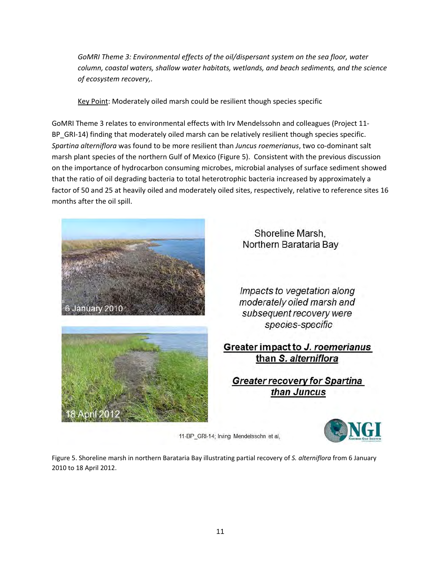*GoMRI Theme 3: Environmental effects of the oil/dispersant system on the sea floor, water column, coastal waters, shallow water habitats, wetlands, and beach sediments, and the science of ecosystem recovery,.*

Key Point: Moderately oiled marsh could be resilient though species specific

GoMRI Theme 3 relates to environmental effects with Irv Mendelssohn and colleagues (Project 11‐ BP\_GRI-14) finding that moderately oiled marsh can be relatively resilient though species specific. *Spartina alterniflora* was found to be more resilient than *Juncus roemerianus*, two co‐dominant salt marsh plant species of the northern Gulf of Mexico (Figure 5). Consistent with the previous discussion on the importance of hydrocarbon consuming microbes, microbial analyses of surface sediment showed that the ratio of oil degrading bacteria to total heterotrophic bacteria increased by approximately a factor of 50 and 25 at heavily oiled and moderately oiled sites, respectively, relative to reference sites 16 months after the oil spill.





Shoreline Marsh, Northern Barataria Bay

Impacts to vegetation along moderately oiled marsh and subsequent recovery were species-specific

# Greater impact to J. roemerianus than S. alterniflora

**Greater recovery for Spartina** than Juncus



11-BP\_GRI-14; Irving Mendelssohn et al,

Figure 5. Shoreline marsh in northern Barataria Bay illustrating partial recovery of *S. alterniflora* from 6 January 2010 to 18 April 2012.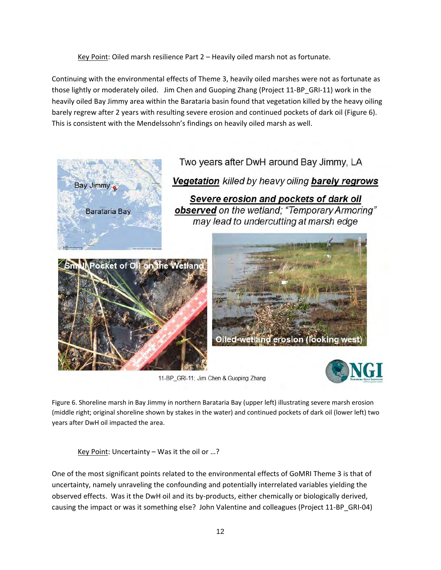Key Point: Oiled marsh resilience Part 2 – Heavily oiled marsh not as fortunate.

Continuing with the environmental effects of Theme 3, heavily oiled marshes were not as fortunate as those lightly or moderately oiled. Jim Chen and Guoping Zhang (Project 11‐BP\_GRI‐11) work in the heavily oiled Bay Jimmy area within the Barataria basin found that vegetation killed by the heavy oiling barely regrew after 2 years with resulting severe erosion and continued pockets of dark oil (Figure 6). This is consistent with the Mendelssohn's findings on heavily oiled marsh as well.



11-BP\_GRI-11; Jim Chen & Guoping Zhang

Figure 6. Shoreline marsh in Bay Jimmy in northern Barataria Bay (upper left) illustrating severe marsh erosion (middle right; original shoreline shown by stakes in the water) and continued pockets of dark oil (lower left) two years after DwH oil impacted the area.

Key Point: Uncertainty – Was it the oil or …?

One of the most significant points related to the environmental effects of GoMRI Theme 3 is that of uncertainty, namely unraveling the confounding and potentially interrelated variables yielding the observed effects. Was it the DwH oil and its by‐products, either chemically or biologically derived, causing the impact or was it something else? John Valentine and colleagues (Project 11‐BP\_GRI‐04)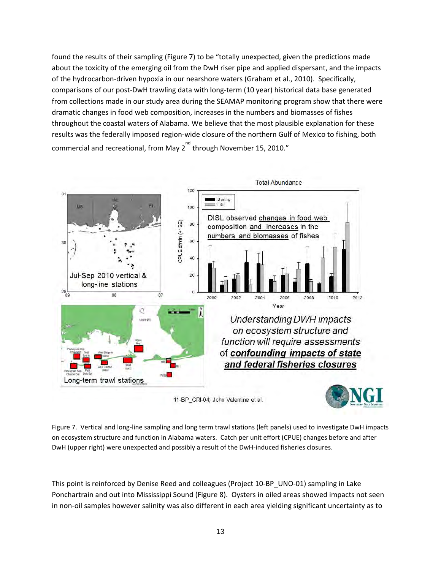found the results of their sampling (Figure 7) to be "totally unexpected, given the predictions made about the toxicity of the emerging oil from the DwH riser pipe and applied dispersant, and the impacts of the hydrocarbon‐driven hypoxia in our nearshore waters (Graham et al., 2010). Specifically, comparisons of our post‐DwH trawling data with long‐term (10 year) historical data base generated from collections made in our study area during the SEAMAP monitoring program show that there were dramatic changes in food web composition, increases in the numbers and biomasses of fishes throughout the coastal waters of Alabama. We believe that the most plausible explanation for these results was the federally imposed region-wide closure of the northern Gulf of Mexico to fishing, both commercial and recreational, from May 2 $^{\text{nd}}$  through November 15, 2010."



11-BP\_GRI-04; John Valentine et al.



Figure 7. Vertical and long-line sampling and long term trawl stations (left panels) used to investigate DwH impacts on ecosystem structure and function in Alabama waters. Catch per unit effort (CPUE) changes before and after DwH (upper right) were unexpected and possibly a result of the DwH-induced fisheries closures.

This point is reinforced by Denise Reed and colleagues (Project 10-BP\_UNO-01) sampling in Lake Ponchartrain and out into Mississippi Sound (Figure 8). Oysters in oiled areas showed impacts not seen in non‐oil samples however salinity was also different in each area yielding significant uncertainty as to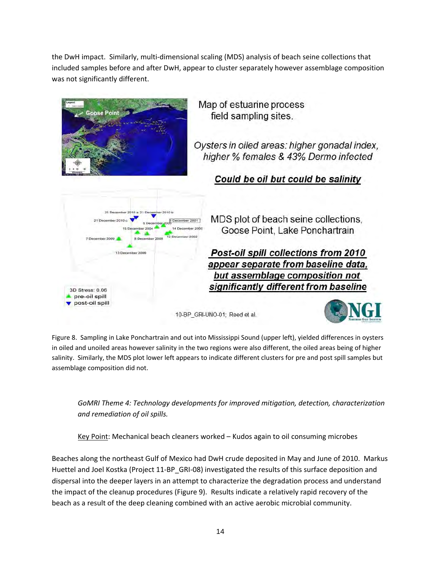the DwH impact. Similarly, multi‐dimensional scaling (MDS) analysis of beach seine collections that included samples before and after DwH, appear to cluster separately however assemblage composition was not significantly different.



Figure 8. Sampling in Lake Ponchartrain and out into Mississippi Sound (upper left), yielded differences in oysters in oiled and unoiled areas however salinity in the two regions were also different, the oiled areas being of higher salinity. Similarly, the MDS plot lower left appears to indicate different clusters for pre and post spill samples but assemblage composition did not.

*GoMRI Theme 4: Technology developments for improved mitigation, detection, characterization and remediation of oil spills.*

Key Point: Mechanical beach cleaners worked – Kudos again to oil consuming microbes

Beaches along the northeast Gulf of Mexico had DwH crude deposited in May and June of 2010. Markus Huettel and Joel Kostka (Project 11‐BP\_GRI‐08) investigated the results of this surface deposition and dispersal into the deeper layers in an attempt to characterize the degradation process and understand the impact of the cleanup procedures (Figure 9). Results indicate a relatively rapid recovery of the beach as a result of the deep cleaning combined with an active aerobic microbial community.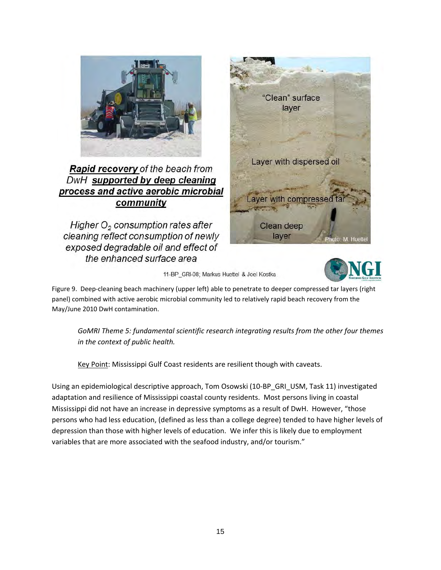

Rapid recovery of the beach from DwH supported by deep cleaning process and active aerobic microbial community

Higher O<sub>2</sub> consumption rates after cleaning reflect consumption of newly exposed degradable oil and effect of the enhanced surface area



11-BP GRI-08; Markus Huettel & Joel Kostka

Figure 9. Deep‐cleaning beach machinery (upper left) able to penetrate to deeper compressed tar layers (right panel) combined with active aerobic microbial community led to relatively rapid beach recovery from the May/June 2010 DwH contamination.

*GoMRI Theme 5: fundamental scientific research integrating results from the other four themes in the context of public health.*

Key Point: Mississippi Gulf Coast residents are resilient though with caveats.

Using an epidemiological descriptive approach, Tom Osowski (10‐BP\_GRI\_USM, Task 11) investigated adaptation and resilience of Mississippi coastal county residents. Most persons living in coastal Mississippi did not have an increase in depressive symptoms as a result of DwH. However, "those persons who had less education, (defined as less than a college degree) tended to have higher levels of depression than those with higher levels of education. We infer this is likely due to employment variables that are more associated with the seafood industry, and/or tourism."